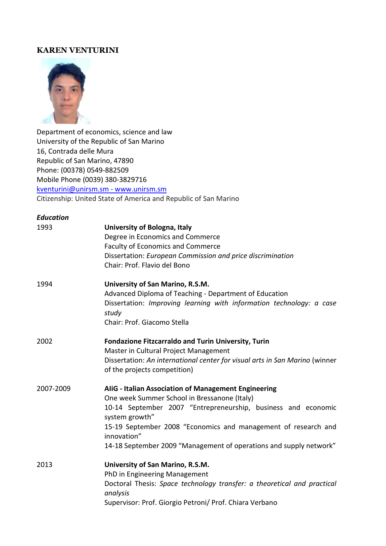# **KAREN VENTURINI**



Department of economics, science and law University of the Republic of San Marino 16, Contrada delle Mura Republic of San Marino, 47890 Phone: (00378) 0549-882509 Mobile Phone (0039) 380-3829716 [kventurini@unirsm.sm](mailto:kventurini@unirsm.sm) - www.unirsm.sm Citizenship: United State of America and Republic of San Marino

| <b>Education</b> |                                                                                                                                                                                                                                                                                                                                                |
|------------------|------------------------------------------------------------------------------------------------------------------------------------------------------------------------------------------------------------------------------------------------------------------------------------------------------------------------------------------------|
| 1993             | University of Bologna, Italy<br>Degree in Economics and Commerce<br><b>Faculty of Economics and Commerce</b><br>Dissertation: European Commission and price discrimination<br>Chair: Prof. Flavio del Bono                                                                                                                                     |
| 1994             | University of San Marino, R.S.M.<br>Advanced Diploma of Teaching - Department of Education<br>Dissertation: Improving learning with information technology: a case<br>study<br>Chair: Prof. Giacomo Stella                                                                                                                                     |
| 2002             | <b>Fondazione Fitzcarraldo and Turin University, Turin</b><br>Master in Cultural Project Management<br>Dissertation: An international center for visual arts in San Marino (winner<br>of the projects competition)                                                                                                                             |
| 2007-2009        | AliG - Italian Association of Management Engineering<br>One week Summer School in Bressanone (Italy)<br>10-14 September 2007 "Entrepreneurship, business and economic<br>system growth"<br>15-19 September 2008 "Economics and management of research and<br>innovation"<br>14-18 September 2009 "Management of operations and supply network" |
| 2013             | University of San Marino, R.S.M.<br>PhD in Engineering Management<br>Doctoral Thesis: Space technology transfer: a theoretical and practical<br>analysis<br>Supervisor: Prof. Giorgio Petroni/ Prof. Chiara Verbano                                                                                                                            |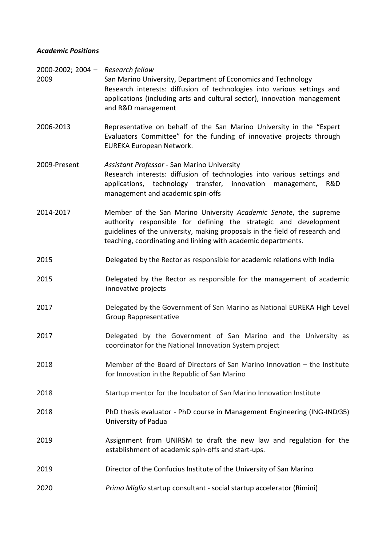## *Academic Positions*

| 2000-2002; 2004 - Research fellow<br>2009 | San Marino University, Department of Economics and Technology<br>Research interests: diffusion of technologies into various settings and<br>applications (including arts and cultural sector), innovation management<br>and R&D management                                           |
|-------------------------------------------|--------------------------------------------------------------------------------------------------------------------------------------------------------------------------------------------------------------------------------------------------------------------------------------|
| 2006-2013                                 | Representative on behalf of the San Marino University in the "Expert"<br>Evaluators Committee" for the funding of innovative projects through<br>EUREKA European Network.                                                                                                            |
| 2009-Present                              | Assistant Professor - San Marino University<br>Research interests: diffusion of technologies into various settings and<br>applications, technology transfer, innovation<br>R&D<br>management,<br>management and academic spin-offs                                                   |
| 2014-2017                                 | Member of the San Marino University Academic Senate, the supreme<br>authority responsible for defining the strategic and development<br>guidelines of the university, making proposals in the field of research and<br>teaching, coordinating and linking with academic departments. |
| 2015                                      | Delegated by the Rector as responsible for academic relations with India                                                                                                                                                                                                             |
| 2015                                      | Delegated by the Rector as responsible for the management of academic<br>innovative projects                                                                                                                                                                                         |
| 2017                                      | Delegated by the Government of San Marino as National EUREKA High Level<br><b>Group Rappresentative</b>                                                                                                                                                                              |
| 2017                                      | Delegated by the Government of San Marino and the University as<br>coordinator for the National Innovation System project                                                                                                                                                            |
| 2018                                      | Member of the Board of Directors of San Marino Innovation - the Institute<br>for Innovation in the Republic of San Marino                                                                                                                                                            |
| 2018                                      | Startup mentor for the Incubator of San Marino Innovation Institute                                                                                                                                                                                                                  |
| 2018                                      | PhD thesis evaluator - PhD course in Management Engineering (ING-IND/35)<br>University of Padua                                                                                                                                                                                      |
| 2019                                      | Assignment from UNIRSM to draft the new law and regulation for the<br>establishment of academic spin-offs and start-ups.                                                                                                                                                             |
| 2019                                      | Director of the Confucius Institute of the University of San Marino                                                                                                                                                                                                                  |
| 2020                                      | Primo Miglio startup consultant - social startup accelerator (Rimini)                                                                                                                                                                                                                |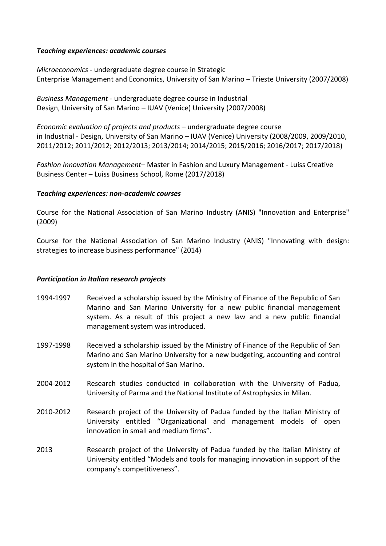### *Teaching experiences: academic courses*

*Microeconomics -* undergraduate degree course in Strategic Enterprise Management and Economics, University of San Marino – Trieste University (2007/2008)

*Business Management* - undergraduate degree course in Industrial Design, University of San Marino – IUAV (Venice) University (2007/2008)

*Economic evaluation of projects and products* – undergraduate degree course in Industrial - Design, University of San Marino – IUAV (Venice) University (2008/2009, 2009/2010, 2011/2012; 2011/2012; 2012/2013; 2013/2014; 2014/2015; 2015/2016; 2016/2017; 2017/2018)

*Fashion Innovation Management*– Master in Fashion and Luxury Management - Luiss Creative Business Center – Luiss Business School, Rome (2017/2018)

#### *Teaching experiences: non-academic courses*

Course for the National Association of San Marino Industry (ANIS) "Innovation and Enterprise" (2009)

Course for the National Association of San Marino Industry (ANIS) "Innovating with design: strategies to increase business performance" (2014)

### *Participation in Italian research projects*

- 1994-1997 Received a scholarship issued by the Ministry of Finance of the Republic of San Marino and San Marino University for a new public financial management system. As a result of this project a new law and a new public financial management system was introduced.
- 1997-1998 Received a scholarship issued by the Ministry of Finance of the Republic of San Marino and San Marino University for a new budgeting, accounting and control system in the hospital of San Marino.
- 2004-2012 Research studies conducted in collaboration with the University of Padua, University of Parma and the National Institute of Astrophysics in Milan.
- 2010-2012 Research project of the University of Padua funded by the Italian Ministry of University entitled "Organizational and management models of open innovation in small and medium firms".
- 2013 Research project of the University of Padua funded by the Italian Ministry of University entitled "Models and tools for managing innovation in support of the company's competitiveness".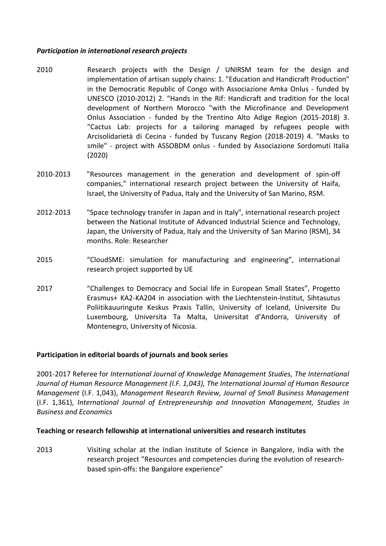### *Participation in international research projects*

- 2010 Research projects with the Design / UNIRSM team for the design and implementation of artisan supply chains: 1. "Education and Handicraft Production" in the Democratic Republic of Congo with Associazione Amka Onlus - funded by UNESCO (2010-2012) 2. "Hands in the Rif: Handicraft and tradition for the local development of Northern Morocco "with the Microfinance and Development Onlus Association - funded by the Trentino Alto Adige Region (2015-2018) 3. "Cactus Lab: projects for a tailoring managed by refugees people with Arcisolidarietà di Cecina - funded by Tuscany Region (2018-2019) 4. "Masks to smile" - project with ASSOBDM onlus - funded by Associazione Sordomuti Italia (2020)
- 2010-2013 "Resources management in the generation and development of spin-off companies," international research project between the University of Haifa, Israel, the University of Padua, Italy and the University of San Marino, RSM.
- 2012-2013 "Space technology transfer in Japan and in Italy", international research project between the National Institute of Advanced Industrial Science and Technology, Japan, the University of Padua, Italy and the University of San Marino (RSM), 34 months. Role: Researcher
- 2015 "CloudSME: simulation for manufacturing and engineering", international research project supported by UE
- 2017 "Challenges to Democracy and Social life in European Small States", Progetto Erasmus+ KA2-KA204 in association with the Liechtenstein-Institut, Sihtasutus Poliitikauuringute Keskus Praxis Tallin, University of Iceland, Universite Du Luxembourg, Universita Ta Malta, Universitat d'Andorra, University of Montenegro, University of Nicosia.

### **Participation in editorial boards of journals and book series**

2001-2017 Referee for *International Journal of Knowledge Management Studies, The International Journal of Human Resource Management (I.F. 1,043), The International Journal of Human Resource Management* (I.F. 1,043), *Management Research Review, Journal of Small Business Management* (I.F. 1,361), *International Journal of Entrepreneurship and Innovation Management, Studies in Business and Economics*

### **Teaching or research fellowship at international universities and research institutes**

2013 Visiting scholar at the Indian Institute of Science in Bangalore, India with the research project "Resources and competencies during the evolution of researchbased spin-offs: the Bangalore experience"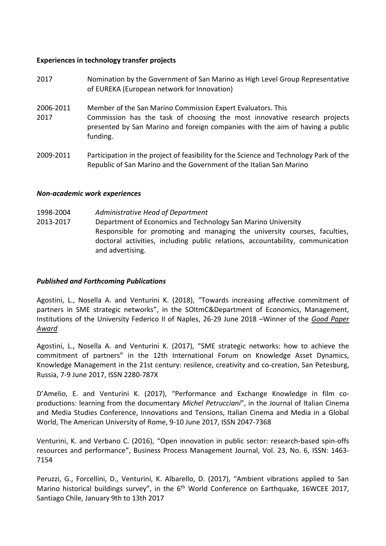### **Experiences in technology transfer projects**

- 2017 Nomination by the Government of San Marino as High Level Group Representative of EUREKA (European network for Innovation)
- 2006-2011 Member of the San Marino Commission Expert Evaluators. This
- 2017 Commission has the task of choosing the most innovative research projects presented by San Marino and foreign companies with the aim of having a public funding.
- 2009-2011 Participation in the project of feasibility for the Science and Technology Park of the Republic of San Marino and the Government of the Italian San Marino

## *Non-academic work experiences*

1998-2004 2013-2017 *Administrative Head of Department*  Department of Economics and Technology San Marino University Responsible for promoting and managing the university courses, faculties, doctoral activities, including public relations, accountability, communication and advertising.

### *Published and Forthcoming Publications*

Agostini, L., Nosella A. and Venturini K. (2018), "Towards increasing affective commitment of partners in SME strategic networks", in the SOItmC&Department of Economics, Management, Institutions of the University Federico II of Naples, 26-29 June 2018 –Winner of the *Good Paper Award*

Agostini, L., Nosella A. and Venturini K. (2017), "SME strategic networks: how to achieve the commitment of partners" in the 12th International Forum on Knowledge Asset Dynamics, Knowledge Management in the 21st century: resilence, creativity and co-creation, San Petesburg, Russia, 7-9 June 2017, ISSN 2280-787X

D'Amelio, E. and Venturini K. (2017), "Performance and Exchange Knowledge in film coproductions: learning from the documentary *Michel Petrucciani*", in the Journal of Italian Cinema and Media Studies Conference, Innovations and Tensions, Italian Cinema and Media in a Global World, The American University of Rome, 9-10 June 2017, ISSN 2047-7368

Venturini, K. and Verbano C. (2016), "Open innovation in public sector: research-based spin-offs resources and performance", Business Process Management Journal, Vol. 23, No. 6, ISSN: 1463- 7154

Peruzzi, G., Forcellini, D., Venturini, K. Albarello, D. (2017), "Ambient vibrations applied to San Marino historical buildings survey", in the 6<sup>th</sup> World Conference on Earthquake, 16WCEE 2017, Santiago Chile, January 9th to 13th 2017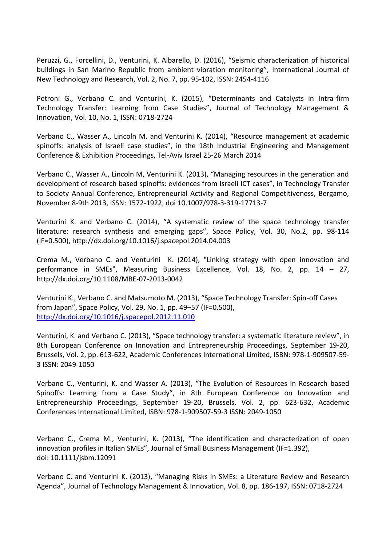Peruzzi, G., Forcellini, D., Venturini, K. Albarello, D. (2016), "Seismic characterization of historical buildings in San Marino Republic from ambient vibration monitoring", International Journal of New Technology and Research, Vol. 2, No. 7, pp. 95-102, ISSN: 2454-4116

Petroni G., Verbano C. and Venturini, K. (2015), "Determinants and Catalysts in Intra-firm Technology Transfer: Learning from Case Studies", Journal of Technology Management & Innovation, Vol. 10, No. 1, ISSN: 0718-2724

Verbano C., Wasser A., Lincoln M. and Venturini K. (2014), "Resource management at academic spinoffs: analysis of Israeli case studies", in the 18th Industrial Engineering and Management Conference & Exhibition Proceedings, Tel-Aviv Israel 25-26 March 2014

Verbano C., Wasser A., Lincoln M, Venturini K. (2013), "Managing resources in the generation and development of research based spinoffs: evidences from Israeli ICT cases", in Technology Transfer to Society Annual Conference, Entrepreneurial Activity and Regional Competitiveness, Bergamo, November 8-9th 2013, ISSN: 1572-1922, doi 10.1007/978-3-319-17713-7

Venturini K. and Verbano C. (2014), "A systematic review of the space technology transfer literature: research synthesis and emerging gaps", Space Policy, Vol. 30, No.2, pp. 98-114 (IF=0.500), http://dx.doi.org/10.1016/j.spacepol.2014.04.003

Crema M., Verbano C. and Venturini K. (2014), "Linking strategy with open innovation and performance in SMEs", Measuring Business Excellence, Vol. 18, No. 2, pp. 14 – 27, http://dx.doi.org/10.1108/MBE-07-2013-0042

Venturini K., Verbano C. and Matsumoto M. (2013), "Space Technology Transfer: Spin-off Cases from Japan", Space Policy, Vol. 29, No. 1, pp. 49–57 (IF=0.500), <http://dx.doi.org/10.1016/j.spacepol.2012.11.010>

Venturini, K. and Verbano C. (2013), "Space technology transfer: a systematic literature review", in 8th European Conference on Innovation and Entrepreneurship Proceedings, September 19-20, Brussels, Vol. 2, pp. 613-622, Academic Conferences International Limited, ISBN: 978-1-909507-59- 3 ISSN: 2049-1050

Verbano C., Venturini, K. and Wasser A. (2013), "The Evolution of Resources in Research based Spinoffs: Learning from a Case Study", in 8th European Conference on Innovation and Entrepreneurship Proceedings, September 19-20, Brussels, Vol. 2, pp. 623-632, Academic Conferences International Limited, ISBN: 978-1-909507-59-3 ISSN: 2049-1050

Verbano C., Crema M., Venturini, K. (2013), "The identification and characterization of open innovation profiles in Italian SMEs", Journal of Small Business Management (IF=1.392), doi: 10.1111/jsbm.12091

Verbano C. and Venturini K. (2013), "Managing Risks in SMEs: a Literature Review and Research Agenda", Journal of Technology Management & Innovation, Vol. 8, pp. 186-197, ISSN: 0718-2724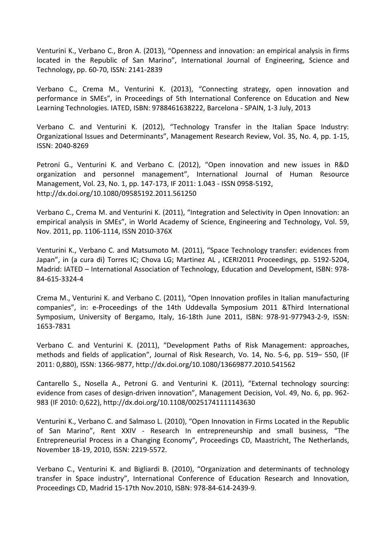Venturini K., Verbano C., Bron A. (2013), "Openness and innovation: an empirical analysis in firms located in the Republic of San Marino", International Journal of Engineering, Science and Technology, pp. 60-70, ISSN: 2141-2839

Verbano C., Crema M., Venturini K. (2013), "Connecting strategy, open innovation and performance in SMEs", in Proceedings of 5th International Conference on Education and New Learning Technologies. IATED, ISBN: 9788461638222, Barcelona - SPAIN, 1-3 July, 2013

Verbano C. and Venturini K. (2012), "Technology Transfer in the Italian Space Industry: Organizational Issues and Determinants", Management Research Review, Vol. 35, No. 4, pp. 1-15, ISSN: 2040-8269

Petroni G., Venturini K. and Verbano C. (2012), "Open innovation and new issues in R&D organization and personnel management", International Journal of Human Resource Management, Vol. 23, No. 1, pp. 147-173, IF 2011: 1.043 - ISSN 0958-5192, http://dx.doi.org/10.1080/09585192.2011.561250

Verbano C., Crema M. and Venturini K. (2011), "Integration and Selectivity in Open Innovation: an empirical analysis in SMEs", in World Academy of Science, Engineering and Technology, Vol. 59, Nov. 2011, pp. 1106-1114, ISSN 2010-376X

Venturini K., Verbano C. and Matsumoto M. (2011), "Space Technology transfer: evidences from Japan", in (a cura di) Torres IC; Chova LG; Martinez AL , ICERI2011 Proceedings, pp. 5192-5204, Madrid: IATED – International Association of Technology, Education and Development, ISBN: 978- 84-615-3324-4

Crema M., Venturini K. and Verbano C. (2011), "Open Innovation profiles in Italian manufacturing companies", in: e-Proceedings of the 14th Uddevalla Symposium 2011 &Third International Symposium, University of Bergamo, Italy, 16-18th June 2011, ISBN: 978-91-977943-2-9, ISSN: 1653-7831

Verbano C. and Venturini K. (2011), "Development Paths of Risk Management: approaches, methods and fields of application", Journal of Risk Research, Vo. 14, No. 5-6, pp. 519– 550, (IF 2011: 0,880), ISSN: 1366-9877, http://dx.doi.org/10.1080/13669877.2010.541562

Cantarello S., Nosella A., Petroni G. and Venturini K. (2011), "External technology sourcing: evidence from cases of design-driven innovation", Management Decision, Vol. 49, No. 6, pp. 962- 983 (IF 2010: 0,622), http://dx.doi.org/10.1108/00251741111143630

Venturini K., Verbano C. and Salmaso L. (2010), "Open Innovation in Firms Located in the Republic of San Marino", Rent XXIV - Research In entrepreneurship and small business, "The Entrepreneurial Process in a Changing Economy", Proceedings CD, Maastricht, The Netherlands, November 18-19, 2010, ISSN: 2219-5572.

Verbano C., Venturini K. and Bigliardi B. (2010), "Organization and determinants of technology transfer in Space industry", International Conference of Education Research and Innovation, Proceedings CD, Madrid 15-17th Nov.2010, ISBN: 978-84-614-2439-9.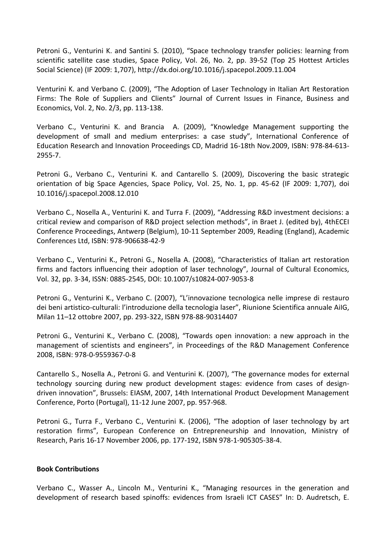Petroni G., Venturini K. and Santini S. (2010), "Space technology transfer policies: learning from scientific satellite case studies, Space Policy, Vol. 26, No. 2, pp. 39-52 (Top 25 Hottest Articles Social Science) (IF 2009: 1,707), http://dx.doi.org/10.1016/j.spacepol.2009.11.004

Venturini K. and Verbano C. (2009), "The Adoption of Laser Technology in Italian Art Restoration Firms: The Role of Suppliers and Clients" Journal of Current Issues in Finance, Business and Economics, Vol. 2, No. 2/3, pp. 113-138.

Verbano C., Venturini K. and Brancia A. (2009), "Knowledge Management supporting the development of small and medium enterprises: a case study", International Conference of Education Research and Innovation Proceedings CD, Madrid 16-18th Nov.2009, ISBN: 978-84-613- 2955-7.

Petroni G., Verbano C., Venturini K. and Cantarello S. (2009), Discovering the basic strategic orientation of big Space Agencies, Space Policy, Vol. 25, No. 1, pp. 45-62 (IF 2009: 1,707), doi 10.1016/j.spacepol.2008.12.010

Verbano C., Nosella A., Venturini K. and Turra F. (2009), "Addressing R&D investment decisions: a critical review and comparison of R&D project selection methods", in Braet J. (edited by), 4thECEI Conference Proceedings, Antwerp (Belgium), 10-11 September 2009, Reading (England), Academic Conferences Ltd, ISBN: 978-906638-42-9

Verbano C., Venturini K., Petroni G., Nosella A. (2008), "Characteristics of Italian art restoration firms and factors influencing their adoption of laser technology", Journal of Cultural Economics, Vol. 32, pp. 3-34, ISSN: 0885-2545, DOI: 10.1007/s10824-007-9053-8

Petroni G., Venturini K., Verbano C. (2007), "L'innovazione tecnologica nelle imprese di restauro dei beni artistico-culturali: l'introduzione della tecnologia laser", Riunione Scientifica annuale AiIG, Milan 11–12 ottobre 2007, pp. 293-322, ISBN 978-88-90314407

Petroni G., Venturini K., Verbano C. (2008), "Towards open innovation: a new approach in the management of scientists and engineers", in Proceedings of the R&D Management Conference 2008, ISBN: 978-0-9559367-0-8

Cantarello S., Nosella A., Petroni G. and Venturini K. (2007), "The governance modes for external technology sourcing during new product development stages: evidence from cases of designdriven innovation", Brussels: EIASM, 2007, 14th International Product Development Management Conference, Porto (Portugal), 11-12 June 2007, pp. 957-968.

Petroni G., Turra F., Verbano C., Venturini K. (2006), "The adoption of laser technology by art restoration firms", European Conference on Entrepreneurship and Innovation, Ministry of Research, Paris 16-17 November 2006, pp. 177-192, ISBN 978-1-905305-38-4.

### **Book Contributions**

Verbano C., Wasser A., Lincoln M., Venturini K., "Managing resources in the generation and development of research based spinoffs: evidences from Israeli ICT CASES" In: D. Audretsch, E.